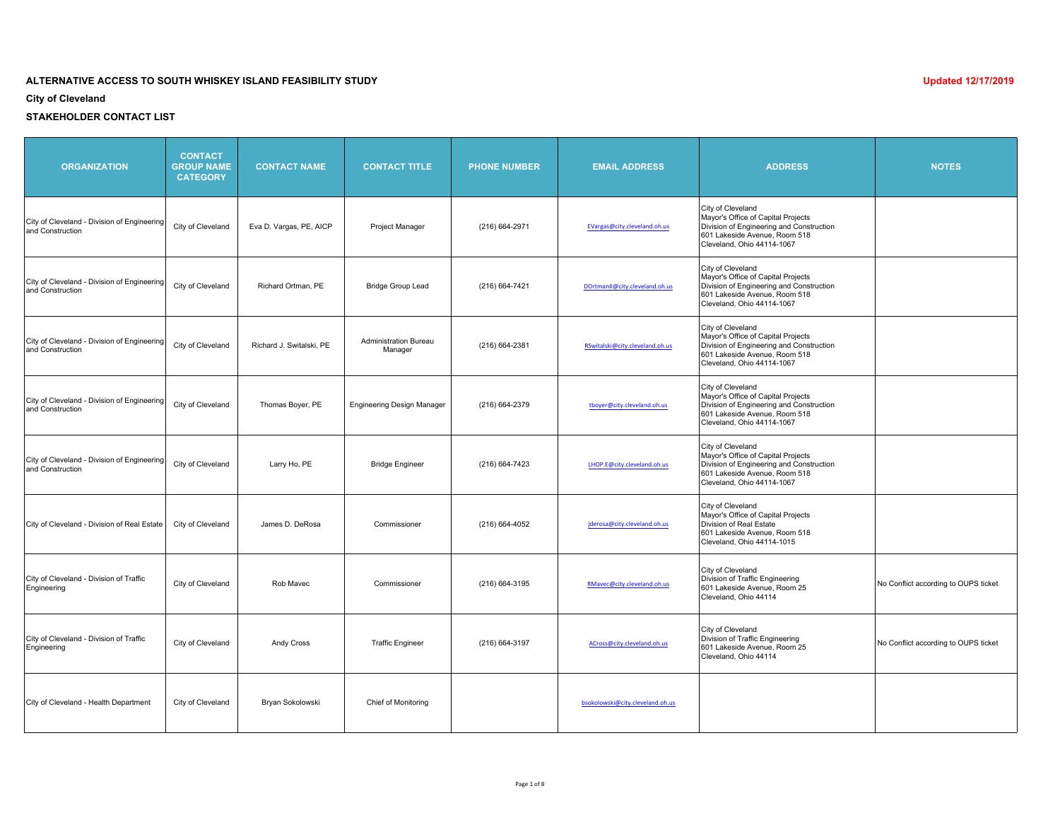**City of Cleveland**

| <b>ORGANIZATION</b>                                             | <b>CONTACT</b><br><b>GROUP NAME</b><br><b>CATEGORY</b> | <b>CONTACT NAME</b>      | <b>CONTACT TITLE</b>                    | <b>PHONE NUMBER</b> | <b>EMAIL ADDRESS</b>             | <b>ADDRESS</b>                                                                                                                                                     | <b>NOTES</b>                         |
|-----------------------------------------------------------------|--------------------------------------------------------|--------------------------|-----------------------------------------|---------------------|----------------------------------|--------------------------------------------------------------------------------------------------------------------------------------------------------------------|--------------------------------------|
| City of Cleveland - Division of Engineering<br>and Construction | City of Cleveland                                      | Eva D. Vargas, PE, AICP  | Project Manager                         | (216) 664-2971      | EVargas@city.cleveland.oh.us     | City of Cleveland<br>Mayor's Office of Capital Projects<br>Division of Engineering and Construction<br>601 Lakeside Avenue, Room 518<br>Cleveland, Ohio 44114-1067 |                                      |
| City of Cleveland - Division of Engineering<br>and Construction | City of Cleveland                                      | Richard Ortman, PE       | <b>Bridge Group Lead</b>                | (216) 664-7421      | DOrtmanII@city.cleveland.oh.us   | City of Cleveland<br>Mayor's Office of Capital Projects<br>Division of Engineering and Construction<br>601 Lakeside Avenue, Room 518<br>Cleveland, Ohio 44114-1067 |                                      |
| City of Cleveland - Division of Engineering<br>and Construction | City of Cleveland                                      | Richard J. Switalski, PE | <b>Administration Bureau</b><br>Manager | (216) 664-2381      | RSwitalski@city.cleveland.oh.us  | City of Cleveland<br>Mayor's Office of Capital Projects<br>Division of Engineering and Construction<br>601 Lakeside Avenue, Room 518<br>Cleveland, Ohio 44114-1067 |                                      |
| City of Cleveland - Division of Engineering<br>and Construction | City of Cleveland                                      | Thomas Boyer, PE         | <b>Engineering Design Manager</b>       | (216) 664-2379      | tboyer@city.cleveland.oh.us      | City of Cleveland<br>Mayor's Office of Capital Projects<br>Division of Engineering and Construction<br>601 Lakeside Avenue, Room 518<br>Cleveland, Ohio 44114-1067 |                                      |
| City of Cleveland - Division of Engineering<br>and Construction | City of Cleveland                                      | Larry Ho, PE             | <b>Bridge Engineer</b>                  | (216) 664-7423      | LHOP.E@city.cleveland.oh.us      | City of Cleveland<br>Mayor's Office of Capital Projects<br>Division of Engineering and Construction<br>601 Lakeside Avenue, Room 518<br>Cleveland, Ohio 44114-1067 |                                      |
| City of Cleveland - Division of Real Estate                     | City of Cleveland                                      | James D. DeRosa          | Commissioner                            | (216) 664-4052      | jderosa@city.cleveland.oh.us     | City of Cleveland<br>Mayor's Office of Capital Projects<br>Division of Real Estate<br>601 Lakeside Avenue, Room 518<br>Cleveland, Ohio 44114-1015                  |                                      |
| City of Cleveland - Division of Traffic<br>Engineering          | City of Cleveland                                      | Rob Mavec                | Commissioner                            | (216) 664-3195      | RMavec@city.cleveland.oh.us      | City of Cleveland<br>Division of Traffic Engineering<br>601 Lakeside Avenue, Room 25<br>Cleveland, Ohio 44114                                                      | No Conflict according to OUPS ticket |
| City of Cleveland - Division of Traffic<br>Engineering          | City of Cleveland                                      | Andy Cross               | <b>Traffic Engineer</b>                 | (216) 664-3197      | ACross@city.cleveland.oh.us      | City of Cleveland<br>Division of Traffic Engineering<br>601 Lakeside Avenue, Room 25<br>Cleveland, Ohio 44114                                                      | No Conflict according to OUPS ticket |
| City of Cleveland - Health Department                           | City of Cleveland                                      | Bryan Sokolowski         | <b>Chief of Monitoring</b>              |                     | bsokolowski@city.cleveland.oh.us |                                                                                                                                                                    |                                      |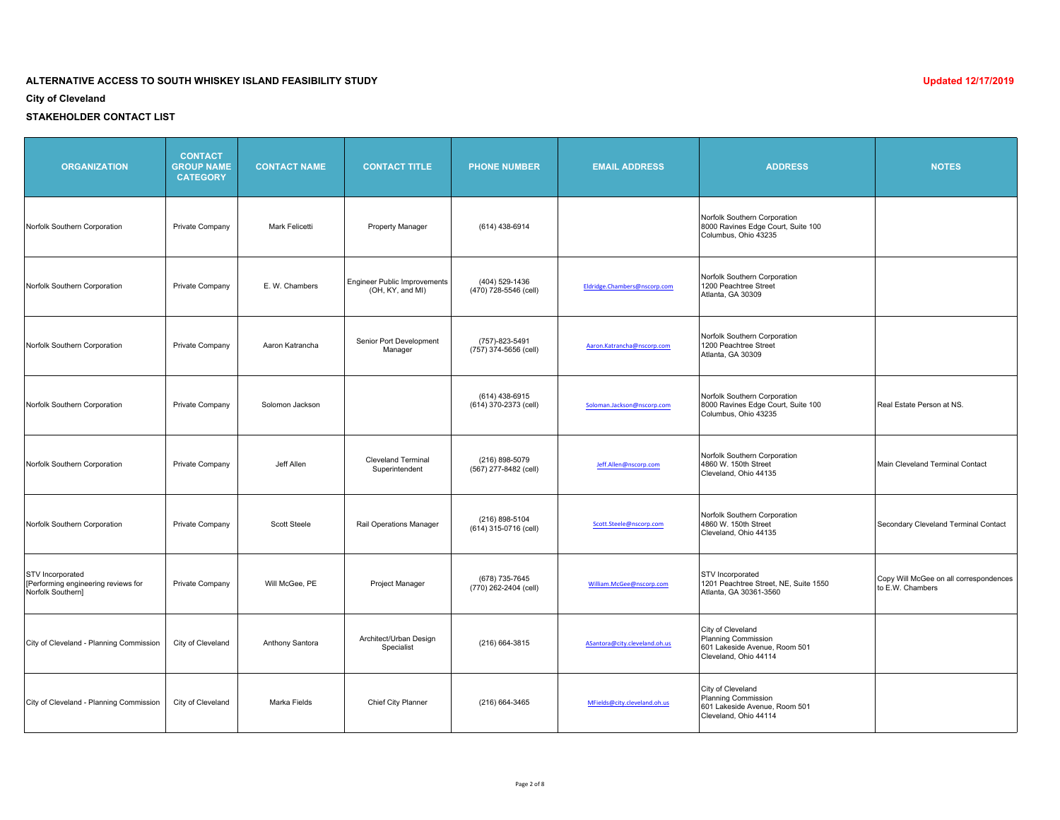**City of Cleveland**

| <b>ORGANIZATION</b>                                                          | <b>CONTACT</b><br><b>GROUP NAME</b><br><b>CATEGORY</b> | <b>CONTACT NAME</b>   | <b>CONTACT TITLE</b>                                    | <b>PHONE NUMBER</b>                       | <b>EMAIL ADDRESS</b>          | <b>ADDRESS</b>                                                                                     | <b>NOTES</b>                                               |
|------------------------------------------------------------------------------|--------------------------------------------------------|-----------------------|---------------------------------------------------------|-------------------------------------------|-------------------------------|----------------------------------------------------------------------------------------------------|------------------------------------------------------------|
| Norfolk Southern Corporation                                                 | Private Company                                        | <b>Mark Felicetti</b> | <b>Property Manager</b>                                 | (614) 438-6914                            |                               | Norfolk Southern Corporation<br>8000 Ravines Edge Court, Suite 100<br>Columbus, Ohio 43235         |                                                            |
| Norfolk Southern Corporation                                                 | Private Company                                        | E. W. Chambers        | <b>Engineer Public Improvements</b><br>(OH, KY, and MI) | (404) 529-1436<br>(470) 728-5546 (cell)   | Eldridge.Chambers@nscorp.com  | Norfolk Southern Corporation<br>1200 Peachtree Street<br>Atlanta, GA 30309                         |                                                            |
| Norfolk Southern Corporation                                                 | Private Company                                        | Aaron Katrancha       | Senior Port Development<br>Manager                      | (757)-823-5491<br>(757) 374-5656 (cell)   | Aaron.Katrancha@nscorp.com    | Norfolk Southern Corporation<br>1200 Peachtree Street<br>Atlanta, GA 30309                         |                                                            |
| Norfolk Southern Corporation                                                 | Private Company                                        | Solomon Jackson       |                                                         | $(614)$ 438-6915<br>(614) 370-2373 (cell) | Soloman.Jackson@nscorp.com    | Norfolk Southern Corporation<br>8000 Ravines Edge Court, Suite 100<br>Columbus, Ohio 43235         | Real Estate Person at NS.                                  |
| Norfolk Southern Corporation                                                 | Private Company                                        | Jeff Allen            | <b>Cleveland Terminal</b><br>Superintendent             | (216) 898-5079<br>(567) 277-8482 (cell)   | Jeff.Allen@nscorp.com         | Norfolk Southern Corporation<br>4860 W. 150th Street<br>Cleveland, Ohio 44135                      | Main Cleveland Terminal Contact                            |
| Norfolk Southern Corporation                                                 | Private Company                                        | <b>Scott Steele</b>   | Rail Operations Manager                                 | (216) 898-5104<br>(614) 315-0716 (cell)   | Scott.Steele@nscorp.com       | Norfolk Southern Corporation<br>4860 W. 150th Street<br>Cleveland, Ohio 44135                      | Secondary Cleveland Terminal Contact                       |
| STV Incorporated<br>[Performing engineering reviews for<br>Norfolk Southern] | Private Company                                        | Will McGee, PE        | Project Manager                                         | (678) 735-7645<br>(770) 262-2404 (cell)   | William.McGee@nscorp.com      | <b>STV</b> Incorporated<br>1201 Peachtree Street, NE, Suite 1550<br>Atlanta, GA 30361-3560         | Copy Will McGee on all correspondences<br>to E.W. Chambers |
| City of Cleveland - Planning Commission                                      | City of Cleveland                                      | Anthony Santora       | Architect/Urban Design<br>Specialist                    | (216) 664-3815                            | ASantora@city.cleveland.oh.us | City of Cleveland<br>Planning Commission<br>601 Lakeside Avenue, Room 501<br>Cleveland, Ohio 44114 |                                                            |
| City of Cleveland - Planning Commission                                      | City of Cleveland                                      | Marka Fields          | Chief City Planner                                      | (216) 664-3465                            | MFields@city.cleveland.oh.us  | City of Cleveland<br>Planning Commission<br>601 Lakeside Avenue, Room 501<br>Cleveland, Ohio 44114 |                                                            |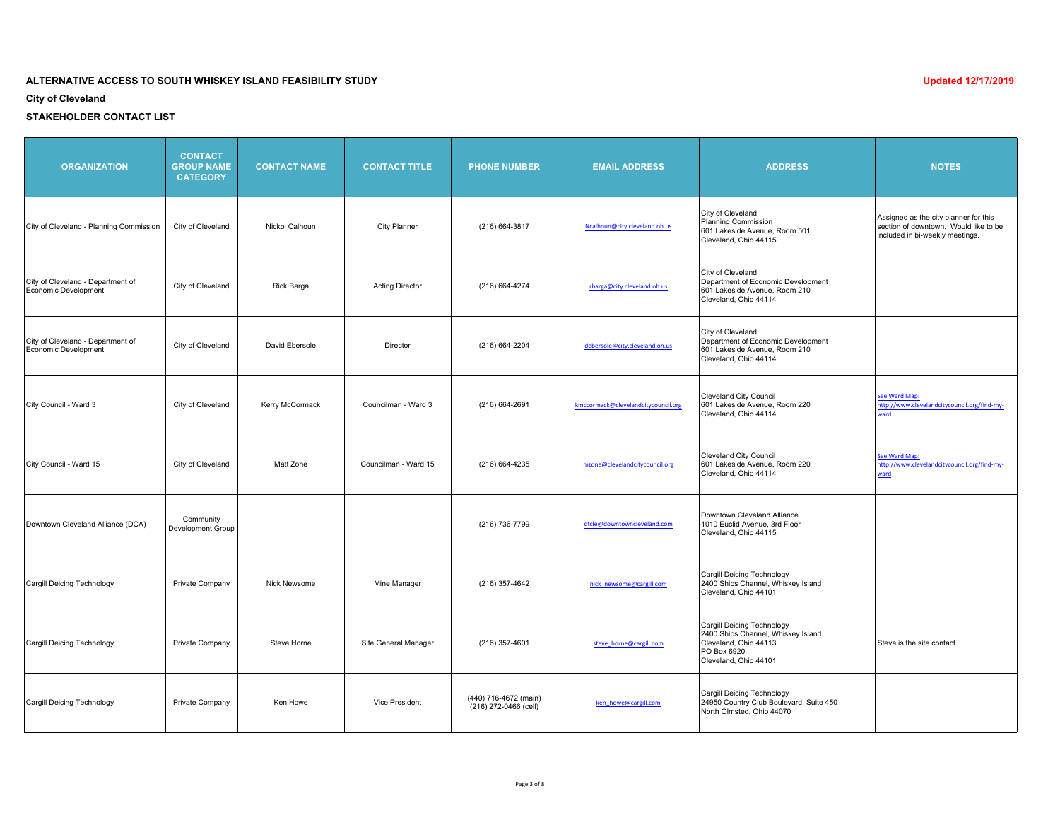**City of Cleveland**

| <b>ORGANIZATION</b>                                       | <b>CONTACT</b><br><b>GROUP NAME</b><br><b>CATEGORY</b> | <b>CONTACT NAME</b> | <b>CONTACT TITLE</b>   | <b>PHONE NUMBER</b>                            | <b>EMAIL ADDRESS</b>                | <b>ADDRESS</b>                                                                                                                    | <b>NOTES</b>                                                                                                      |
|-----------------------------------------------------------|--------------------------------------------------------|---------------------|------------------------|------------------------------------------------|-------------------------------------|-----------------------------------------------------------------------------------------------------------------------------------|-------------------------------------------------------------------------------------------------------------------|
| City of Cleveland - Planning Commission                   | City of Cleveland                                      | Nickol Calhoun      | <b>City Planner</b>    | (216) 664-3817                                 | Ncalhoun@city.cleveland.oh.us       | City of Cleveland<br>Planning Commission<br>601 Lakeside Avenue, Room 501<br>Cleveland, Ohio 44115                                | Assigned as the city planner for this<br>section of downtown. Would like to be<br>included in bi-weekly meetings. |
| City of Cleveland - Department of<br>Economic Development | City of Cleveland                                      | Rick Barga          | <b>Acting Director</b> | (216) 664-4274                                 | rbarga@city.cleveland.oh.us         | City of Cleveland<br>Department of Economic Development<br>601 Lakeside Avenue, Room 210<br>Cleveland, Ohio 44114                 |                                                                                                                   |
| City of Cleveland - Department of<br>Economic Development | City of Cleveland                                      | David Ebersole      | Director               | (216) 664-2204                                 | debersole@city.cleveland.oh.us      | City of Cleveland<br>Department of Economic Development<br>601 Lakeside Avenue, Room 210<br>Cleveland, Ohio 44114                 |                                                                                                                   |
| City Council - Ward 3                                     | City of Cleveland                                      | Kerry McCormack     | Councilman - Ward 3    | (216) 664-2691                                 | kmccormack@clevelandcitycouncil.org | <b>Cleveland City Council</b><br>601 Lakeside Avenue, Room 220<br>Cleveland, Ohio 44114                                           | See Ward Map:<br>http://www.clevelandcitycouncil.org/find-my-<br>ward                                             |
| City Council - Ward 15                                    | City of Cleveland                                      | Matt Zone           | Councilman - Ward 15   | (216) 664-4235                                 | mzone@clevelandcitycouncil.org      | <b>Cleveland City Council</b><br>601 Lakeside Avenue, Room 220<br>Cleveland, Ohio 44114                                           | See Ward Map:<br>http://www.clevelandcitycouncil.org/find-my-<br>ward                                             |
| Downtown Cleveland Alliance (DCA)                         | Community<br><b>Development Group</b>                  |                     |                        | (216) 736-7799                                 | dtcle@downtowncleveland.com         | Downtown Cleveland Alliance<br>1010 Euclid Avenue, 3rd Floor<br>Cleveland, Ohio 44115                                             |                                                                                                                   |
| Cargill Deicing Technology                                | Private Company                                        | Nick Newsome        | Mine Manager           | (216) 357-4642                                 | nick_newsome@cargill.com            | Cargill Deicing Technology<br>2400 Ships Channel, Whiskey Island<br>Cleveland, Ohio 44101                                         |                                                                                                                   |
| Cargill Deicing Technology                                | Private Company                                        | Steve Horne         | Site General Manager   | (216) 357-4601                                 | steve horne@cargill.com             | Cargill Deicing Technology<br>2400 Ships Channel, Whiskey Island<br>Cleveland, Ohio 44113<br>PO Box 6920<br>Cleveland, Ohio 44101 | Steve is the site contact.                                                                                        |
| Cargill Deicing Technology                                | Private Company                                        | Ken Howe            | <b>Vice President</b>  | (440) 716-4672 (main)<br>(216) 272-0466 (cell) | ken_howe@cargill.com                | Cargill Deicing Technology<br>24950 Country Club Boulevard, Suite 450<br>North Olmsted, Ohio 44070                                |                                                                                                                   |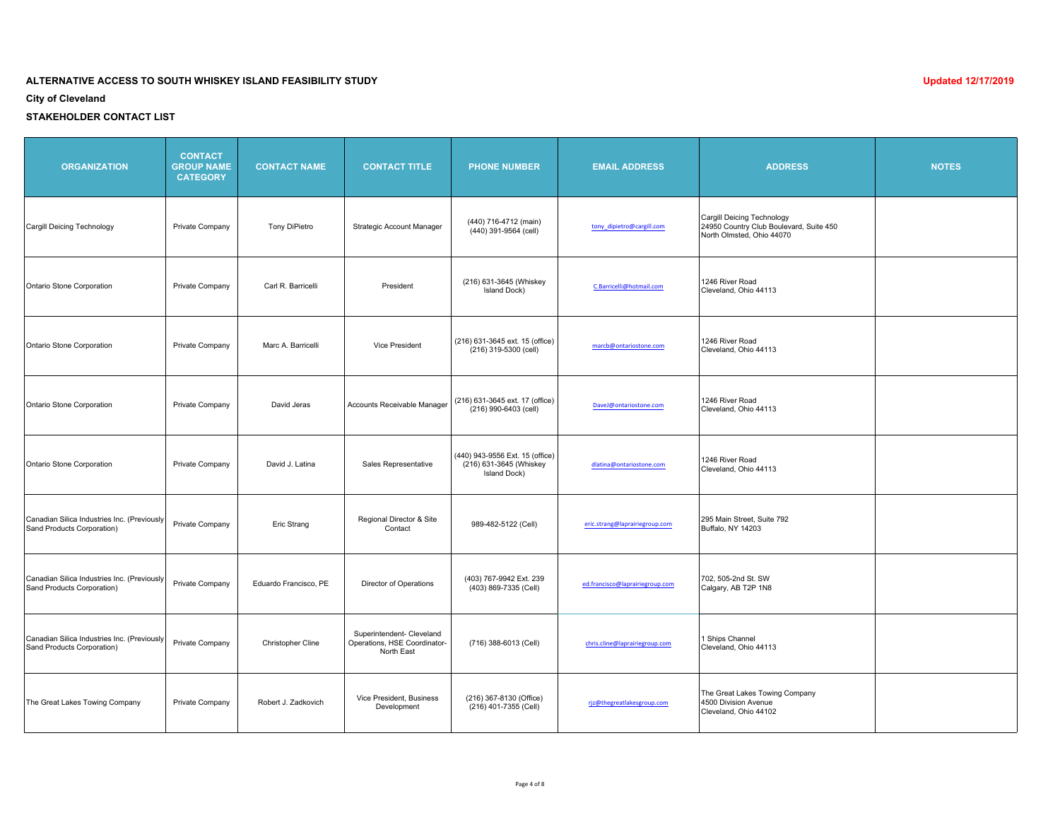**City of Cleveland**

| <b>ORGANIZATION</b>                                                       | <b>CONTACT</b><br><b>GROUP NAME</b><br><b>CATEGORY</b> | <b>CONTACT NAME</b>   | <b>CONTACT TITLE</b>                                                    | <b>PHONE NUMBER</b>                                                        | <b>EMAIL ADDRESS</b>            | <b>ADDRESS</b>                                                                                     | <b>NOTES</b> |
|---------------------------------------------------------------------------|--------------------------------------------------------|-----------------------|-------------------------------------------------------------------------|----------------------------------------------------------------------------|---------------------------------|----------------------------------------------------------------------------------------------------|--------------|
| Cargill Deicing Technology                                                | Private Company                                        | Tony DiPietro         | Strategic Account Manager                                               | (440) 716-4712 (main)<br>(440) 391-9564 (cell)                             | tony_dipietro@cargill.com       | Cargill Deicing Technology<br>24950 Country Club Boulevard, Suite 450<br>North Olmsted, Ohio 44070 |              |
| Ontario Stone Corporation                                                 | Private Company                                        | Carl R. Barricelli    | President                                                               | (216) 631-3645 (Whiskey<br>Island Dock)                                    | C.Barricelli@hotmail.com        | 1246 River Road<br>Cleveland, Ohio 44113                                                           |              |
| Ontario Stone Corporation                                                 | Private Company                                        | Marc A. Barricelli    | <b>Vice President</b>                                                   | (216) 631-3645 ext. 15 (office)<br>(216) 319-5300 (cell)                   | marcb@ontariostone.com          | 1246 River Road<br>Cleveland, Ohio 44113                                                           |              |
| Ontario Stone Corporation                                                 | Private Company                                        | David Jeras           | Accounts Receivable Manager                                             | (216) 631-3645 ext. 17 (office)<br>(216) 990-6403 (cell)                   | DaveJ@ontariostone.com          | 1246 River Road<br>Cleveland, Ohio 44113                                                           |              |
| Ontario Stone Corporation                                                 | Private Company                                        | David J. Latina       | Sales Representative                                                    | (440) 943-9556 Ext. 15 (office)<br>(216) 631-3645 (Whiskey<br>Island Dock) | dlatina@ontariostone.com        | 1246 River Road<br>Cleveland, Ohio 44113                                                           |              |
| Canadian Silica Industries Inc. (Previously<br>Sand Products Corporation) | Private Company                                        | Eric Strang           | Regional Director & Site<br>Contact                                     | 989-482-5122 (Cell)                                                        | eric.strang@laprairiegroup.com  | 295 Main Street, Suite 792<br>Buffalo, NY 14203                                                    |              |
| Canadian Silica Industries Inc. (Previously<br>Sand Products Corporation) | Private Company                                        | Eduardo Francisco, PE | Director of Operations                                                  | (403) 767-9942 Ext. 239<br>(403) 869-7335 (Cell)                           | ed.francisco@laprairiegroup.com | 702, 505-2nd St. SW<br>Calgary, AB T2P 1N8                                                         |              |
| Canadian Silica Industries Inc. (Previously<br>Sand Products Corporation) | Private Company                                        | Christopher Cline     | Superintendent- Cleveland<br>Operations, HSE Coordinator-<br>North East | (716) 388-6013 (Cell)                                                      | chris.cline@laprairiegroup.com  | 1 Ships Channel<br>Cleveland, Ohio 44113                                                           |              |
| The Great Lakes Towing Company                                            | Private Company                                        | Robert J. Zadkovich   | Vice President, Business<br>Development                                 | (216) 367-8130 (Office)<br>(216) 401-7355 (Cell)                           | rjz@thegreatlakesgroup.com      | The Great Lakes Towing Company<br>4500 Division Avenue<br>Cleveland, Ohio 44102                    |              |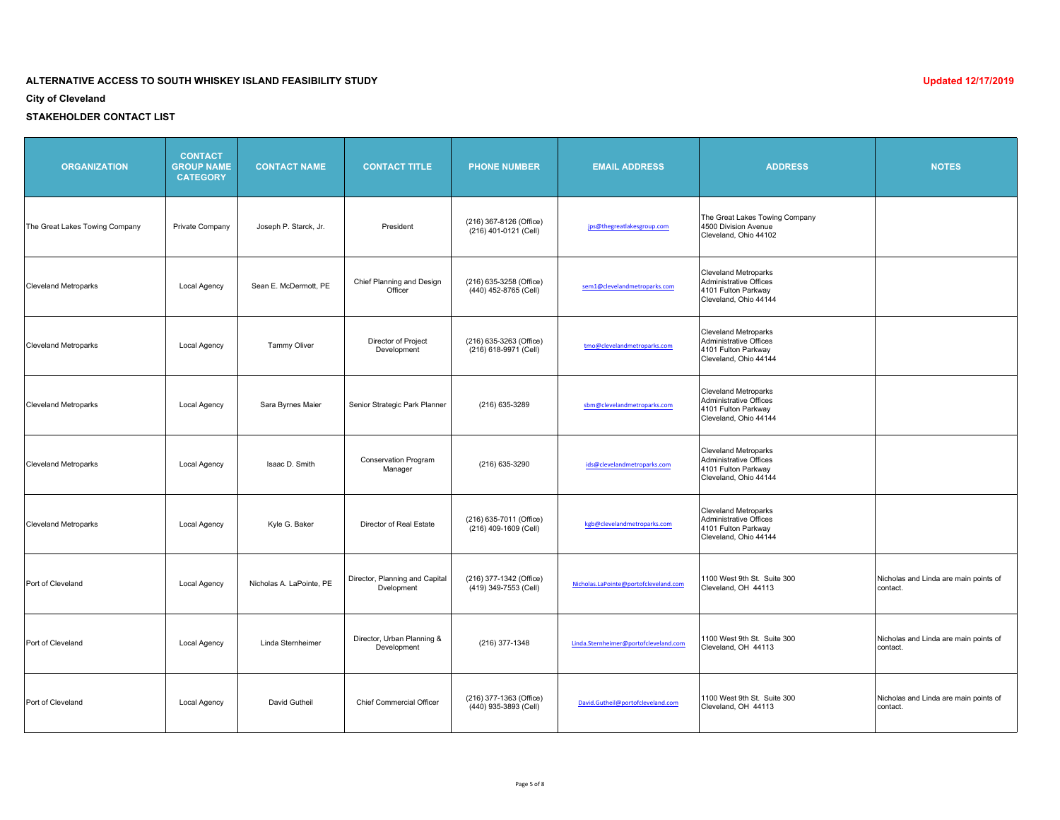**City of Cleveland**

| <b>ORGANIZATION</b>            | <b>CONTACT</b><br><b>GROUP NAME</b><br><b>CATEGORY</b> | <b>CONTACT NAME</b>      | <b>CONTACT TITLE</b>                         | <b>PHONE NUMBER</b>                              | <b>EMAIL ADDRESS</b>                  | <b>ADDRESS</b>                                                                                        | <b>NOTES</b>                                      |
|--------------------------------|--------------------------------------------------------|--------------------------|----------------------------------------------|--------------------------------------------------|---------------------------------------|-------------------------------------------------------------------------------------------------------|---------------------------------------------------|
| The Great Lakes Towing Company | Private Company                                        | Joseph P. Starck, Jr.    | President                                    | (216) 367-8126 (Office)<br>(216) 401-0121 (Cell) | jps@thegreatlakesgroup.com            | The Great Lakes Towing Company<br>4500 Division Avenue<br>Cleveland, Ohio 44102                       |                                                   |
| <b>Cleveland Metroparks</b>    | Local Agency                                           | Sean E. McDermott. PE    | Chief Planning and Design<br>Officer         | (216) 635-3258 (Office)<br>(440) 452-8765 (Cell) | sem1@clevelandmetroparks.com          | <b>Cleveland Metroparks</b><br>Administrative Offices<br>4101 Fulton Parkway<br>Cleveland, Ohio 44144 |                                                   |
| <b>Cleveland Metroparks</b>    | Local Agency                                           | <b>Tammy Oliver</b>      | Director of Project<br>Development           | (216) 635-3263 (Office)<br>(216) 618-9971 (Cell) | tmo@clevelandmetroparks.com           | <b>Cleveland Metroparks</b><br>Administrative Offices<br>4101 Fulton Parkway<br>Cleveland, Ohio 44144 |                                                   |
| <b>Cleveland Metroparks</b>    | Local Agency                                           | Sara Byrnes Maier        | Senior Strategic Park Planner                | (216) 635-3289                                   | sbm@clevelandmetroparks.com           | <b>Cleveland Metroparks</b><br>Administrative Offices<br>4101 Fulton Parkway<br>Cleveland, Ohio 44144 |                                                   |
| <b>Cleveland Metroparks</b>    | <b>Local Agency</b>                                    | Isaac D. Smith           | <b>Conservation Program</b><br>Manager       | (216) 635-3290                                   | ids@clevelandmetroparks.com           | <b>Cleveland Metroparks</b><br>Administrative Offices<br>4101 Fulton Parkway<br>Cleveland, Ohio 44144 |                                                   |
| <b>Cleveland Metroparks</b>    | Local Agency                                           | Kyle G. Baker            | Director of Real Estate                      | (216) 635-7011 (Office)<br>(216) 409-1609 (Cell) | kgb@clevelandmetroparks.com           | <b>Cleveland Metroparks</b><br>Administrative Offices<br>4101 Fulton Parkway<br>Cleveland, Ohio 44144 |                                                   |
| Port of Cleveland              | Local Agency                                           | Nicholas A. LaPointe, PE | Director, Planning and Capital<br>Dvelopment | (216) 377-1342 (Office)<br>(419) 349-7553 (Cell) | Nicholas.LaPointe@portofcleveland.com | 1100 West 9th St. Suite 300<br>Cleveland, OH 44113                                                    | Nicholas and Linda are main points of<br>contact. |
| Port of Cleveland              | Local Agency                                           | Linda Sternheimer        | Director, Urban Planning &<br>Development    | (216) 377-1348                                   | Linda.Sternheimer@portofcleveland.com | 1100 West 9th St. Suite 300<br>Cleveland, OH 44113                                                    | Nicholas and Linda are main points of<br>contact. |
| Port of Cleveland              | Local Agency                                           | David Gutheil            | <b>Chief Commercial Officer</b>              | (216) 377-1363 (Office)<br>(440) 935-3893 (Cell) | David.Gutheil@portofcleveland.com     | 1100 West 9th St. Suite 300<br>Cleveland, OH 44113                                                    | Nicholas and Linda are main points of<br>contact. |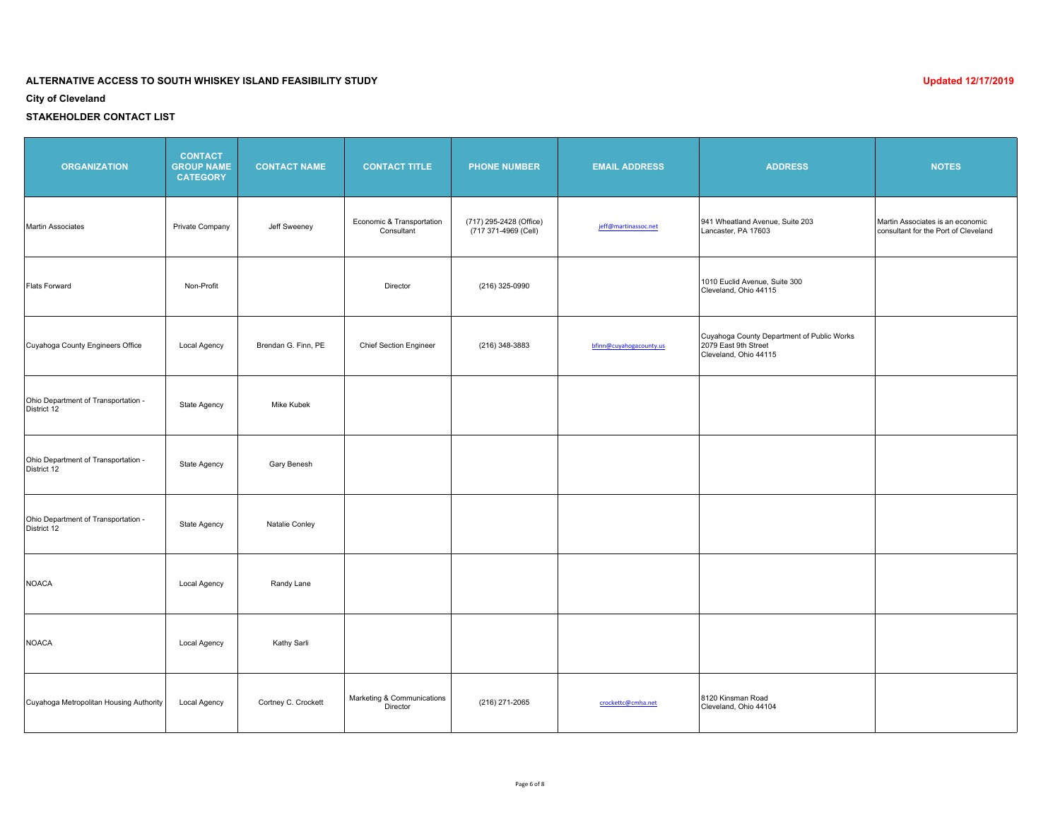**City of Cleveland**

| <b>ORGANIZATION</b>                                | <b>CONTACT</b><br><b>GROUP NAME</b><br><b>CATEGORY</b> | <b>CONTACT NAME</b> | <b>CONTACT TITLE</b>                    | <b>PHONE NUMBER</b>                             | <b>EMAIL ADDRESS</b>    | <b>ADDRESS</b>                                                                              | <b>NOTES</b>                                                             |
|----------------------------------------------------|--------------------------------------------------------|---------------------|-----------------------------------------|-------------------------------------------------|-------------------------|---------------------------------------------------------------------------------------------|--------------------------------------------------------------------------|
| Martin Associates                                  | Private Company                                        | Jeff Sweeney        | Economic & Transportation<br>Consultant | (717) 295-2428 (Office)<br>(717 371-4969 (Cell) | jeff@martinassoc.net    | 941 Wheatland Avenue, Suite 203<br>Lancaster, PA 17603                                      | Martin Associates is an economic<br>consultant for the Port of Cleveland |
| Flats Forward                                      | Non-Profit                                             |                     | Director                                | (216) 325-0990                                  |                         | 1010 Euclid Avenue, Suite 300<br>Cleveland, Ohio 44115                                      |                                                                          |
| Cuyahoga County Engineers Office                   | Local Agency                                           | Brendan G. Finn, PE | <b>Chief Section Engineer</b>           | (216) 348-3883                                  | bfinn@cuyahogacounty.us | Cuyahoga County Department of Public Works<br>2079 East 9th Street<br>Cleveland, Ohio 44115 |                                                                          |
| Ohio Department of Transportation -<br>District 12 | State Agency                                           | Mike Kubek          |                                         |                                                 |                         |                                                                                             |                                                                          |
| Ohio Department of Transportation -<br>District 12 | State Agency                                           | Gary Benesh         |                                         |                                                 |                         |                                                                                             |                                                                          |
| Ohio Department of Transportation -<br>District 12 | State Agency                                           | Natalie Conley      |                                         |                                                 |                         |                                                                                             |                                                                          |
| <b>NOACA</b>                                       | Local Agency                                           | Randy Lane          |                                         |                                                 |                         |                                                                                             |                                                                          |
| <b>NOACA</b>                                       | Local Agency                                           | Kathy Sarli         |                                         |                                                 |                         |                                                                                             |                                                                          |
| Cuyahoga Metropolitan Housing Authority            | Local Agency                                           | Cortney C. Crockett | Marketing & Communications<br>Director  | (216) 271-2065                                  | crockettc@cmha.net      | 8120 Kinsman Road<br>Cleveland, Ohio 44104                                                  |                                                                          |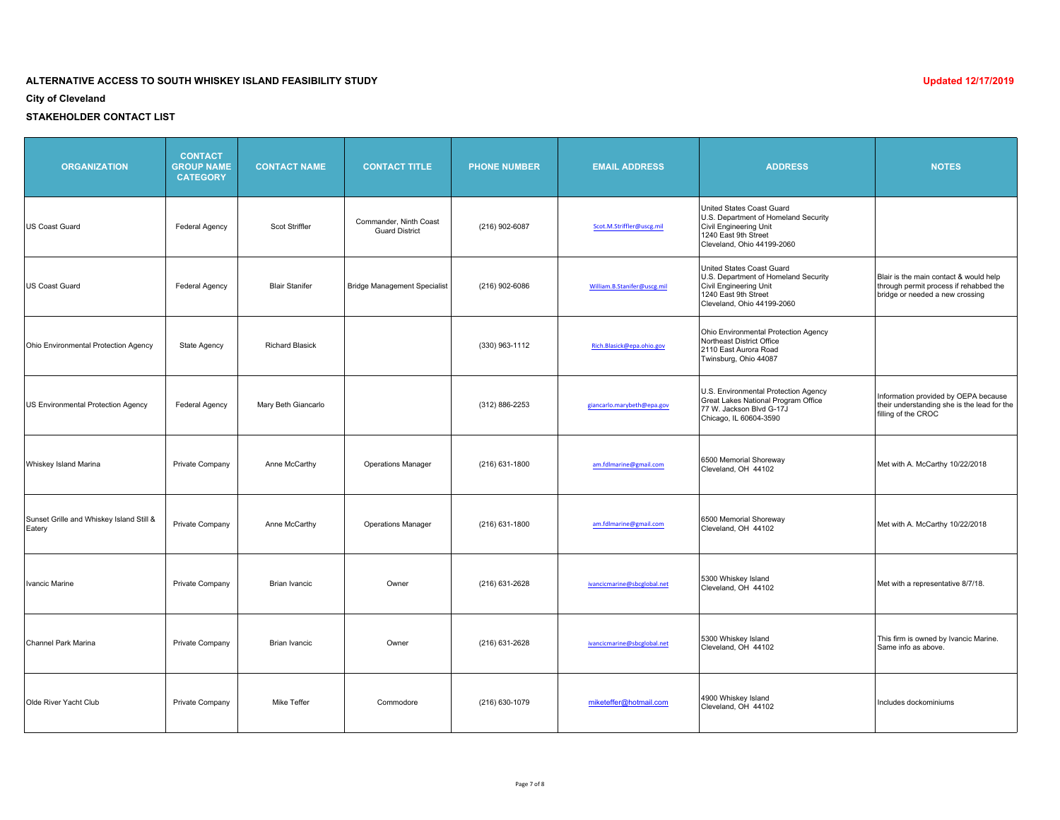**City of Cleveland**

| <b>ORGANIZATION</b>                                | <b>CONTACT</b><br><b>GROUP NAME</b><br><b>CATEGORY</b> | <b>CONTACT NAME</b>    | <b>CONTACT TITLE</b>                            | <b>PHONE NUMBER</b> | <b>EMAIL ADDRESS</b>        | <b>ADDRESS</b>                                                                                                                                    | <b>NOTES</b>                                                                                                        |
|----------------------------------------------------|--------------------------------------------------------|------------------------|-------------------------------------------------|---------------------|-----------------------------|---------------------------------------------------------------------------------------------------------------------------------------------------|---------------------------------------------------------------------------------------------------------------------|
| US Coast Guard                                     | Federal Agency                                         | Scot Striffler         | Commander, Ninth Coast<br><b>Guard District</b> | (216) 902-6087      | Scot.M.Striffler@uscg.mil   | United States Coast Guard<br>U.S. Department of Homeland Security<br>Civil Engineering Unit<br>1240 East 9th Street<br>Cleveland, Ohio 44199-2060 |                                                                                                                     |
| US Coast Guard                                     | <b>Federal Agency</b>                                  | <b>Blair Stanifer</b>  | <b>Bridge Management Specialist</b>             | (216) 902-6086      | William.B.Stanifer@uscg.mil | United States Coast Guard<br>U.S. Department of Homeland Security<br>Civil Engineering Unit<br>1240 East 9th Street<br>Cleveland, Ohio 44199-2060 | Blair is the main contact & would help<br>through permit process if rehabbed the<br>bridge or needed a new crossing |
| Ohio Environmental Protection Agency               | <b>State Agency</b>                                    | <b>Richard Blasick</b> |                                                 | (330) 963-1112      | Rich.Blasick@epa.ohio.gov   | Ohio Environmental Protection Agency<br>Northeast District Office<br>2110 East Aurora Road<br>Twinsburg, Ohio 44087                               |                                                                                                                     |
| US Environmental Protection Agency                 | Federal Agency                                         | Mary Beth Giancarlo    |                                                 | (312) 886-2253      | giancarlo.marybeth@epa.gov  | U.S. Environmental Protection Agency<br>Great Lakes National Program Office<br>77 W. Jackson Blvd G-17J<br>Chicago, IL 60604-3590                 | Information provided by OEPA because<br>their understanding she is the lead for the<br>filling of the CROC          |
| Whiskey Island Marina                              | Private Company                                        | Anne McCarthy          | <b>Operations Manager</b>                       | $(216)$ 631-1800    | am.fdlmarine@gmail.com      | 6500 Memorial Shoreway<br>Cleveland, OH 44102                                                                                                     | Met with A. McCarthy 10/22/2018                                                                                     |
| Sunset Grille and Whiskey Island Still &<br>Eatery | Private Company                                        | Anne McCarthy          | <b>Operations Manager</b>                       | $(216)$ 631-1800    | am.fdlmarine@gmail.com      | 6500 Memorial Shoreway<br>Cleveland, OH 44102                                                                                                     | Met with A. McCarthy 10/22/2018                                                                                     |
| Ivancic Marine                                     | Private Company                                        | <b>Brian Ivancic</b>   | Owner                                           | (216) 631-2628      | ivancicmarine@sbcglobal.net | 5300 Whiskey Island<br>Cleveland, OH 44102                                                                                                        | Met with a representative 8/7/18.                                                                                   |
| Channel Park Marina                                | Private Company                                        | <b>Brian Ivancic</b>   | Owner                                           | (216) 631-2628      | ivancicmarine@sbcglobal.net | 5300 Whiskey Island<br>Cleveland, OH 44102                                                                                                        | This firm is owned by Ivancic Marine.<br>Same info as above.                                                        |
| Olde River Yacht Club                              | Private Company                                        | Mike Teffer            | Commodore                                       | (216) 630-1079      | miketeffer@hotmail.com      | 4900 Whiskey Island<br>Cleveland, OH 44102                                                                                                        | Includes dockominiums                                                                                               |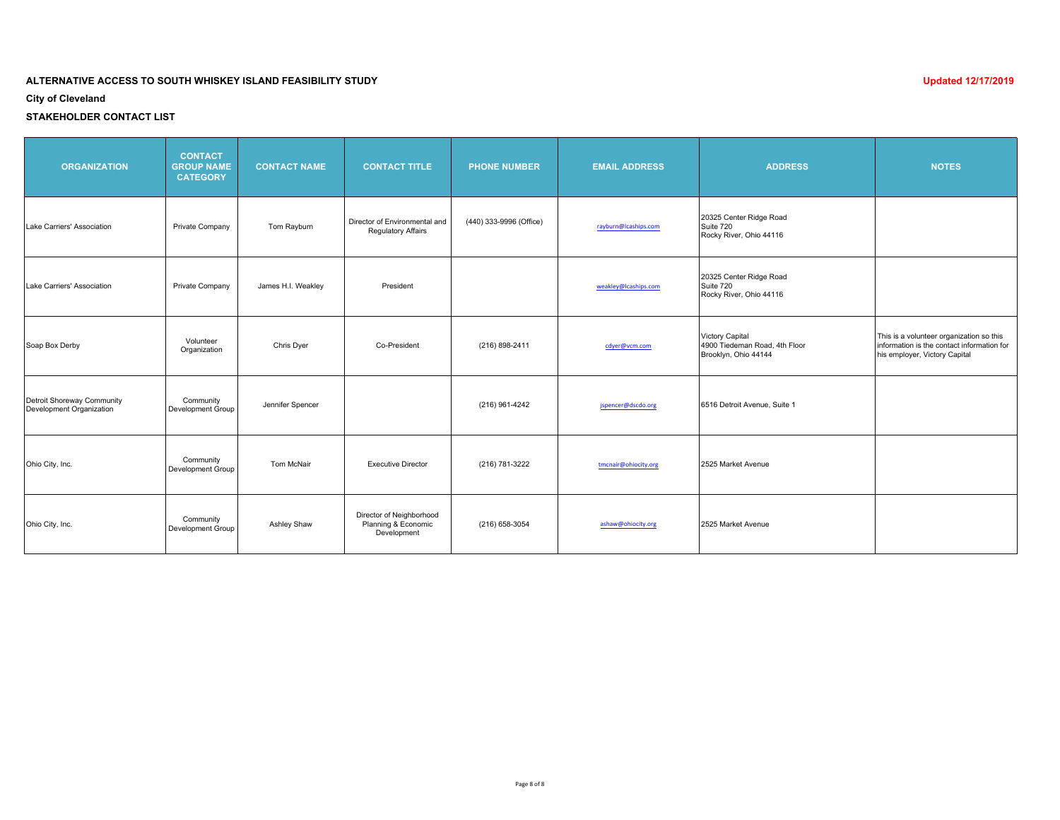**City of Cleveland**

| <b>ORGANIZATION</b>                                    | <b>CONTACT</b><br><b>GROUP NAME</b><br><b>CATEGORY</b> | <b>CONTACT NAME</b> | <b>CONTACT TITLE</b>                                           | <b>PHONE NUMBER</b>     | <b>EMAIL ADDRESS</b> | <b>ADDRESS</b>                                                           | <b>NOTES</b>                                                                                                            |
|--------------------------------------------------------|--------------------------------------------------------|---------------------|----------------------------------------------------------------|-------------------------|----------------------|--------------------------------------------------------------------------|-------------------------------------------------------------------------------------------------------------------------|
| Lake Carriers' Association                             | Private Company                                        | Tom Rayburn         | Director of Environmental and<br><b>Regulatory Affairs</b>     | (440) 333-9996 (Office) | rayburn@lcaships.com | 20325 Center Ridge Road<br>Suite 720<br>Rocky River, Ohio 44116          |                                                                                                                         |
| Lake Carriers' Association                             | Private Company                                        | James H.I. Weakley  | President                                                      |                         | weakley@lcaships.com | 20325 Center Ridge Road<br>Suite 720<br>Rocky River, Ohio 44116          |                                                                                                                         |
| Soap Box Derby                                         | Volunteer<br>Organization                              | Chris Dyer          | Co-President                                                   | (216) 898-2411          | cdyer@vcm.com        | Victory Capital<br>4900 Tiedeman Road, 4th Floor<br>Brooklyn, Ohio 44144 | This is a volunteer organization so this<br>information is the contact information for<br>his employer, Victory Capital |
| Detroit Shoreway Community<br>Development Organization | Community<br>Development Group                         | Jennifer Spencer    |                                                                | (216) 961-4242          | jspencer@dscdo.org   | 6516 Detroit Avenue, Suite 1                                             |                                                                                                                         |
| Ohio City, Inc.                                        | Community<br>Development Group                         | Tom McNair          | <b>Executive Director</b>                                      | (216) 781-3222          | tmcnair@ohiocity.org | 2525 Market Avenue                                                       |                                                                                                                         |
| Ohio City, Inc.                                        | Community<br>Development Group                         | <b>Ashley Shaw</b>  | Director of Neighborhood<br>Planning & Economic<br>Development | (216) 658-3054          | ashaw@ohiocity.org   | 2525 Market Avenue                                                       |                                                                                                                         |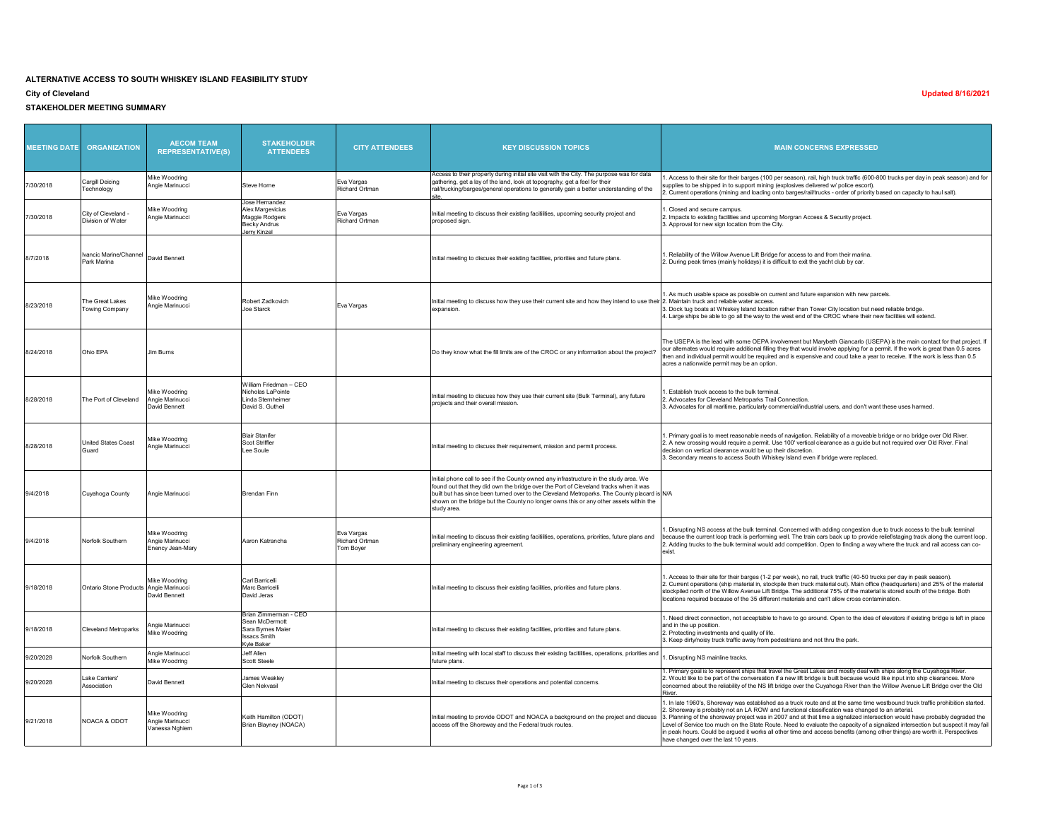#### **ALTERNATIVE ACCESS TO SOUTH WHISKEY ISLAND FEASIBILITY STUDY**

#### **City of Cleveland**

**STAKEHOLDER MEETING SUMMARY**

| <b>MEETING DATE</b> | <b>ORGANIZATION</b>                      | <b>AECOM TEAM</b><br><b>REPRESENTATIVE(S)</b>        | <b>STAKEHOLDER</b><br><b>ATTENDEES</b>                                                            | <b>CITY ATTENDEES</b>                     | <b>KEY DISCUSSION TOPICS</b>                                                                                                                                                                                                                                                                                                                                                          | <b>MAIN CONCERNS EXPRESSED</b>                                                                                                                                                                                                                                                                                                                                                                                                                                                                                                                                                                                                    |
|---------------------|------------------------------------------|------------------------------------------------------|---------------------------------------------------------------------------------------------------|-------------------------------------------|---------------------------------------------------------------------------------------------------------------------------------------------------------------------------------------------------------------------------------------------------------------------------------------------------------------------------------------------------------------------------------------|-----------------------------------------------------------------------------------------------------------------------------------------------------------------------------------------------------------------------------------------------------------------------------------------------------------------------------------------------------------------------------------------------------------------------------------------------------------------------------------------------------------------------------------------------------------------------------------------------------------------------------------|
| 7/30/2018           | Cargill Deicing<br>Technology            | Mike Woodring<br>Angie Marinucci                     | Steve Horne                                                                                       | Eva Vargas<br><b>Richard Ortman</b>       | Access to their property during initial site visit with the City. The purpose was for data<br>gathering, get a lay of the land, look at topography, get a feel for their<br>rail/trucking/barges/general operations to generally gain a better understanding of the                                                                                                                   | Access to their site for their barges (100 per season), rail, high truck traffic (600-800 trucks per day in peak season) and for<br>upplies to be shipped in to support mining (explosives delivered w/ police escort).<br>. Current operations (mining and loading onto barges/rail/trucks - order of priority based on capacity to haul salt)                                                                                                                                                                                                                                                                                   |
| 7/30/2018           | City of Cleveland<br>Division of Water   | Mike Woodring<br>Angie Marinucci                     | Jose Hernandez<br>Alex Margevicius<br>Maggie Rodgers<br><b>Becky Andrus</b><br>lerry Kinzel       | Eva Vargas<br>Richard Ortman              | Initial meeting to discuss their existing facitilities, upcoming security project and<br>proposed sian                                                                                                                                                                                                                                                                                | Closed and secure campus.<br>. Impacts to existing facilities and upcoming Morgran Access & Security project.<br>3. Approval for new sign location from the City.                                                                                                                                                                                                                                                                                                                                                                                                                                                                 |
| 8/7/2018            | Ivancic Marine/Channel<br>Park Marina    | David Bennett                                        |                                                                                                   |                                           | Initial meeting to discuss their existing facilities, priorities and future plans.                                                                                                                                                                                                                                                                                                    | . Reliability of the Willow Avenue Lift Bridge for access to and from their marina.<br>2. During peak times (mainly holidays) it is difficult to exit the yacht club by car.                                                                                                                                                                                                                                                                                                                                                                                                                                                      |
| 8/23/2018           | The Great Lakes<br><b>Towing Company</b> | Mike Woodring<br>Angie Marinucci                     | Robert Zadkovich<br>Joe Starck                                                                    | Eva Vargas                                | Initial meeting to discuss how they use their current site and how they intend to use their<br>expansion.                                                                                                                                                                                                                                                                             | . As much usable space as possible on current and future expansion with new parcels.<br>2. Maintain truck and reliable water access.<br>3. Dock tug boats at Whiskey Island location rather than Tower City location but need reliable bridge.<br>4. Large ships be able to go all the way to the west end of the CROC where their new facilities will extend.                                                                                                                                                                                                                                                                    |
| 8/24/2018           | Ohio EPA                                 | Jim Burns                                            |                                                                                                   |                                           | Do they know what the fill limits are of the CROC or any information about the project?                                                                                                                                                                                                                                                                                               | The USEPA is the lead with some OEPA involvement but Marybeth Giancarlo (USEPA) is the main contact for that project. If<br>our alternates would require additional filling they that would involve applying for a permit. If the work is great than 0.5 acres<br>hen and individual permit would be required and is expensive and coud take a year to receive. If the work is less than 0.5<br>acres a nationwide permit may be an option.                                                                                                                                                                                       |
| 8/28/2018           | The Port of Cleveland                    | Mike Woodrina<br>Angie Marinucci<br>David Bennett    | William Friedman - CEO<br>Nicholas LaPointe<br>Linda Sternheimer<br>David S. Gutheil              |                                           | Initial meeting to discuss how they use their current site (Bulk Terminal), any future<br>projects and their overall mission.                                                                                                                                                                                                                                                         | Fstablish truck access to the bulk terminal<br>. Advocates for Cleveland Metroparks Trail Connection.<br>3. Advocates for all maritime, particularly commercial/industrial users, and don't want these uses harmed.                                                                                                                                                                                                                                                                                                                                                                                                               |
| 8/28/2018           | United States Coast<br>Guard             | Mike Woodrina<br>Angie Marinucci                     | <b>Blair Stanifer</b><br>Scot Striffler<br>Lee Soule                                              |                                           | Initial meeting to discuss their requirement, mission and permit process.                                                                                                                                                                                                                                                                                                             | . Primary goal is to meet reasonable needs of navigation. Reliability of a moveable bridge or no bridge over Old River.<br>2. A new crossing would require a permit. Use 100' vertical clearance as a guide but not required over Old River. Final<br>decision on vertical clearance would be up their discretion<br>3. Secondary means to access South Whiskey Island even if bridge were replaced.                                                                                                                                                                                                                              |
| 9/4/2018            | Cuyahoga County                          | Angie Marinucci                                      | <b>Brendan Finn</b>                                                                               |                                           | Initial phone call to see if the County owned any infrastructure in the study area. We<br>found out that they did own the bridge over the Port of Cleveland tracks when it was<br>built but has since been turned over to the Cleveland Metroparks. The County placard is N/A<br>shown on the bridge but the County no longer owns this or any other assets within the<br>study area. |                                                                                                                                                                                                                                                                                                                                                                                                                                                                                                                                                                                                                                   |
| 9/4/2018            | Norfolk Southern                         | Mike Woodring<br>Angie Marinucci<br>Enency Jean-Mary | Aaron Katrancha                                                                                   | Eva Vargas<br>Richard Ortman<br>Tom Boyer | Initial meeting to discuss their existing facitilities, operations, priorities, future plans and<br>preliminary engineering agreement                                                                                                                                                                                                                                                 | Disrupting NS access at the bulk terminal. Concerned with adding congestion due to truck access to the bulk terminal<br>ecause the current loop track is performing well. The train cars back up to provide relief/staging track along the current loop.<br>. Adding trucks to the bulk terminal would add competition. Open to finding a way where the truck and rail access can co-<br>exist                                                                                                                                                                                                                                    |
| 9/18/2018           | Ontario Stone Products Angie Marinucci   | Mike Woodring<br>David Bennett                       | Carl Barricelli<br>Marc Barricelli<br>David Jeras                                                 |                                           | Initial meeting to discuss their existing facilities, priorities and future plans.                                                                                                                                                                                                                                                                                                    | Access to their site for their barges (1-2 per week), no rail, truck traffic (40-50 trucks per day in peak season).<br>2. Current operations (ship material in, stockpile then truck material out). Main office (headquarters) and 25% of the material<br>stockpiled north of the Willow Avenue Lift Bridge. The additional 75% of the material is stored south of the bridge. Both<br>locations required because of the 35 different materials and can't allow cross contamination.                                                                                                                                              |
| 9/18/2018           | <b>Cleveland Metroparks</b>              | Angie Marinucci<br>Mike Woodring                     | Brian Zimmerman - CEO<br>Sean McDermott<br>Sara Byrnes Maier<br><b>Issacs Smith</b><br>Kyle Baker |                                           | Initial meeting to discuss their existing facilities, priorities and future plans.                                                                                                                                                                                                                                                                                                    | . Need direct connection, not acceptable to have to go around. Open to the idea of elevators if existing bridge is left in place<br>and in the up position.<br>2. Protecting investments and quality of life.<br>3. Keep dirty/noisy truck traffic away from pedestrians and not thru the park.                                                                                                                                                                                                                                                                                                                                   |
| 9/20/2028           | Norfolk Southern                         | Angie Marinucci<br>Mike Woodring                     | Jeff Allen<br>Scott Steele                                                                        |                                           | Initial meeting with local staff to discuss their existing facitilities, operations, priorities and<br>future plans.                                                                                                                                                                                                                                                                  | . Disrupting NS mainline tracks.                                                                                                                                                                                                                                                                                                                                                                                                                                                                                                                                                                                                  |
| 9/20/2028           | Lake Carriers'<br>Association            | David Bennett                                        | James Weakley<br>Glen Nekvasil                                                                    |                                           | Initial meeting to discuss their operations and potential concerns.                                                                                                                                                                                                                                                                                                                   | . Primary goal is to represent ships that travel the Great Lakes and mostly deal with ships along the Cuyahoga River.<br>2. Would like to be part of the conversation if a new lift bridge is built because would like input into ship clearances. More<br>concerned about the reliability of the NS lift bridge over the Cuyahoga River than the Willow Avenue Lift Bridge over the Old                                                                                                                                                                                                                                          |
| 9/21/2018           | NOACA & ODOT                             | Mike Woodring<br>Angie Marinucci<br>Vanessa Nghiem   | Keith Hamilton (ODOT)<br>Brian Blayney (NOACA)                                                    |                                           | Initial meeting to provide ODOT and NOACA a background on the project and discuss<br>access off the Shoreway and the Federal truck routes.                                                                                                                                                                                                                                            | 1. In late 1960's, Shoreway was established as a truck route and at the same time westbound truck traffic prohibition started.<br>. Shoreway is probably not an LA ROW and functional classification was changed to an arterial.<br>3. Planning of the shoreway project was in 2007 and at that time a signalized intersection would have probably degraded the<br>Level of Service too much on the State Route. Need to evaluate the capacity of a signalized intersection but suspect it may fail<br>in peak hours. Could be argued it works all other time and access benefits (among other things) are worth it. Perspectives |

**Updated 8/16/2021**

have changed over the last 10 years.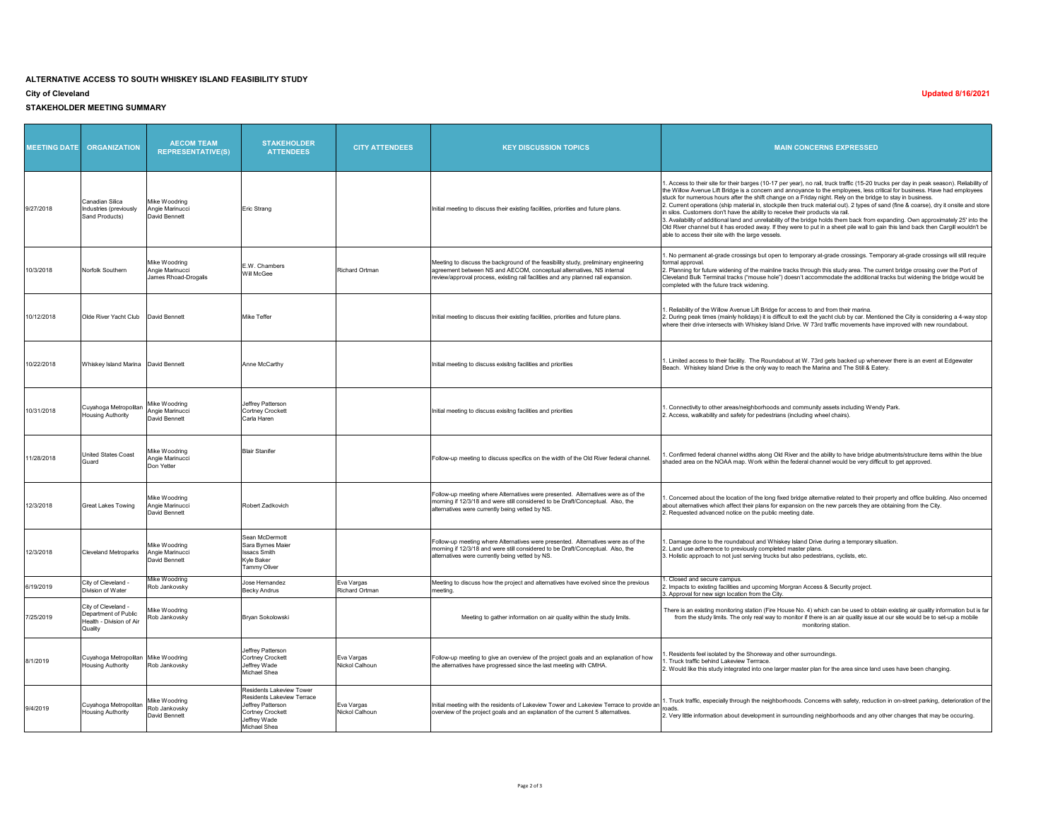## **ALTERNATIVE ACCESS TO SOUTH WHISKEY ISLAND FEASIBILITY STUDY**

#### **City of Cleveland**

**STAKEHOLDER MEETING SUMMARY**

 $\overline{\phantom{a}}$ 

| <b>MEETING DATE</b> | <b>ORGANIZATION</b>                                                                | <b>AECOM TEAM</b><br><b>REPRESENTATIVE(S)</b>            | <b>STAKEHOLDER</b><br><b>ATTENDEES</b>                                                                                                 | <b>CITY ATTENDEES</b>        | <b>KEY DISCUSSION TOPICS</b>                                                                                                                                                                                                                     | <b>MAIN CONCERNS EXPRESSED</b>                                                                                                                                                                                                                                                                                                                                                                                                                                                                                                                                                                                                                                                                                                                                                                                                                                                                                                                |
|---------------------|------------------------------------------------------------------------------------|----------------------------------------------------------|----------------------------------------------------------------------------------------------------------------------------------------|------------------------------|--------------------------------------------------------------------------------------------------------------------------------------------------------------------------------------------------------------------------------------------------|-----------------------------------------------------------------------------------------------------------------------------------------------------------------------------------------------------------------------------------------------------------------------------------------------------------------------------------------------------------------------------------------------------------------------------------------------------------------------------------------------------------------------------------------------------------------------------------------------------------------------------------------------------------------------------------------------------------------------------------------------------------------------------------------------------------------------------------------------------------------------------------------------------------------------------------------------|
| 9/27/2018           | Canadian Silica<br>Industries (previously<br>Sand Products)                        | Mike Woodring<br>Angie Marinucci<br>David Bennett        | Eric Strang                                                                                                                            |                              | Initial meeting to discuss their existing facilities, priorities and future plans.                                                                                                                                                               | I. Access to their site for their barges (10-17 per year), no rail, truck traffic (15-20 trucks per day in peak season). Reliability of<br>the Willow Avenue Lift Bridge is a concern and annoyance to the employees, less critical for business. Have had employees<br>stuck for numerous hours after the shift change on a Friday night. Rely on the bridge to stay in business.<br>2. Current operations (ship material in, stockpile then truck material out). 2 types of sand (fine & coarse), dry it onsite and store<br>in silos. Customers don't have the ability to receive their products via rail.<br>3. Availability of additional land and unreliability of the bridge holds them back from expanding. Own approximately 25' into the<br>Old River channel but it has eroded away. If they were to put in a sheet pile wall to gain this land back then Cargill wouldn't be<br>able to access their site with the large vessels. |
| 10/3/2018           | Norfolk Southern                                                                   | Mike Woodrina<br>Angie Marinucci<br>James Rhoad-Drogalis | E.W. Chambers<br>Will McGee                                                                                                            | Richard Ortman               | Meeting to discuss the background of the feasibility study, preliminary engineering<br>agreement between NS and AECOM, conceptual alternatives, NS internal<br>review/approval process, existing rail facilities and any planned rail expansion. | . No permanent at-grade crossings but open to temporary at-grade crossings. Temporary at-grade crossings will still require<br>formal approval<br>2. Planning for future widening of the mainline tracks through this study area. The current bridge crossing over the Port of<br>Cleveland Bulk Terminal tracks ("mouse hole") doesn't accommodate the additional tracks but widening the bridge would be<br>completed with the future track widening.                                                                                                                                                                                                                                                                                                                                                                                                                                                                                       |
| 10/12/2018          | Olde River Yacht Club                                                              | David Bennett                                            | Mike Teffer                                                                                                                            |                              | Initial meeting to discuss their existing facilities, priorities and future plans.                                                                                                                                                               | . Reliability of the Willow Avenue Lift Bridge for access to and from their marina.<br>2. During peak times (mainly holidays) it is difficult to exit the yacht club by car. Mentioned the City is considering a 4-way stop<br>where their drive intersects with Whiskey Island Drive. W 73rd traffic movements have improved with new roundabout.                                                                                                                                                                                                                                                                                                                                                                                                                                                                                                                                                                                            |
| 10/22/2018          | Whiskey Island Marina David Bennett                                                |                                                          | Anne McCarthy                                                                                                                          |                              | Initial meeting to discuss exisitng facilities and priorities                                                                                                                                                                                    | 1. Limited access to their facility. The Roundabout at W. 73rd gets backed up whenever there is an event at Edgewater<br>Beach. Whiskey Island Drive is the only way to reach the Marina and The Still & Eatery.                                                                                                                                                                                                                                                                                                                                                                                                                                                                                                                                                                                                                                                                                                                              |
| 10/31/2018          | Cuyahoga Metropolitan<br><b>Housing Authority</b>                                  | Mike Woodring<br>Angie Marinucci<br>David Bennett        | Jeffrey Patterson<br><b>Cortney Crockett</b><br>Carla Haren                                                                            |                              | Initial meeting to discuss exisitng facilities and priorities                                                                                                                                                                                    | . Connectivity to other areas/neighborhoods and community assets including Wendy Park.<br>2. Access, walkability and safety for pedestrians (including wheel chairs).                                                                                                                                                                                                                                                                                                                                                                                                                                                                                                                                                                                                                                                                                                                                                                         |
| 11/28/2018          | <b>United States Coast</b><br>Guard                                                | Mike Woodrina<br>Angie Marinucci<br>Don Yetter           | <b>Blair Stanifer</b>                                                                                                                  |                              | Follow-up meeting to discuss specifics on the width of the Old River federal channel.                                                                                                                                                            | . Confirmed federal channel widths along Old River and the ability to have bridge abutments/structure items within the blue<br>shaded area on the NOAA map. Work within the federal channel would be very difficult to get approved.                                                                                                                                                                                                                                                                                                                                                                                                                                                                                                                                                                                                                                                                                                          |
| 12/3/2018           | Great Lakes Towing                                                                 | Mike Woodring<br>Angie Marinucci<br>David Bennett        | Robert Zadkovich                                                                                                                       |                              | Follow-up meeting where Alternatives were presented. Alternatives were as of the<br>morning if 12/3/18 and were still considered to be Draft/Conceptual. Also, the<br>alternatives were currently being vetted by NS.                            | Concerned about the location of the long fixed bridge alternative related to their property and office building. Also oncerned<br>about alternatives which affect their plans for expansion on the new parcels they are obtaining from the City.<br>2. Requested advanced notice on the public meeting date.                                                                                                                                                                                                                                                                                                                                                                                                                                                                                                                                                                                                                                  |
| 12/3/2018           | <b>Cleveland Metroparks</b>                                                        | Mike Woodring<br>Angie Marinucci<br>David Bennett        | Sean McDermott<br>Sara Byrnes Maier<br><b>Issacs Smith</b><br>Kyle Baker<br>Tammy Oliver                                               |                              | Follow-up meeting where Alternatives were presented. Alternatives were as of the<br>morning if 12/3/18 and were still considered to be Draft/Conceptual. Also, the<br>alternatives were currently being vetted by NS.                            | . Damage done to the roundabout and Whiskey Island Drive during a temporary situation.<br>2. Land use adherence to previously completed master plans.<br>3. Holistic approach to not just serving trucks but also pedestrians, cyclists, etc.                                                                                                                                                                                                                                                                                                                                                                                                                                                                                                                                                                                                                                                                                                 |
| 6/19/2019           | City of Cleveland -<br>Division of Water                                           | Mike Woodring<br>Rob Jankovsky                           | Jose Hemandez<br><b>Becky Andrus</b>                                                                                                   | Eva Vargas<br>Richard Ortman | Meeting to discuss how the project and alternatives have evolved since the previous<br>meeting.                                                                                                                                                  | . Closed and secure campus.<br>. Impacts to existing facilities and upcoming Morgran Access & Security project.<br>3. Approval for new sign location from the City.                                                                                                                                                                                                                                                                                                                                                                                                                                                                                                                                                                                                                                                                                                                                                                           |
| 7/25/2019           | City of Cleveland -<br>Department of Public<br>Health - Division of Air<br>Quality | Mike Woodring<br>Rob Jankovsky                           | Bryan Sokolowski                                                                                                                       |                              | Meeting to gather information on air quality within the study limits.                                                                                                                                                                            | There is an existing monitoring station (Fire House No. 4) which can be used to obtain existing air quality information but is far<br>from the study limits. The only real way to monitor if there is an air quality issue at our site would be to set-up a mobile<br>monitoring station.                                                                                                                                                                                                                                                                                                                                                                                                                                                                                                                                                                                                                                                     |
| 8/1/2019            | Cuyahoga Metropolitan Mike Woodring<br><b>Housing Authority</b>                    | Rob Jankovsky                                            | Jeffrey Patterson<br>Cortney Crockett<br>Jeffrey Wade<br>Michael Shea                                                                  | Eva Vargas<br>Nickol Calhoun | Follow-up meeting to give an overview of the project goals and an explanation of how<br>the alternatives have progressed since the last meeting with CMHA.                                                                                       | Residents feel isolated by the Shoreway and other surroundings.<br>. Truck traffic behind Lakeview Terrrace.<br>2. Would like this study integrated into one larger master plan for the area since land uses have been changing.                                                                                                                                                                                                                                                                                                                                                                                                                                                                                                                                                                                                                                                                                                              |
| 9/4/2019            | Cuyahoga Metropolitan<br><b>Housing Authority</b>                                  | Mike Woodring<br>Rob Jankovsky<br>David Bennett          | Residents Lakeview Tower<br>Residents Lakeview Terrace<br>Jeffrey Patterson<br><b>Cortney Crockett</b><br>Jeffrey Wade<br>Michael Shea | Eva Vargas<br>Nickol Calhoun | Initial meeting with the residents of Lakeview Tower and Lakeview Terrace to provide an<br>overview of the project goals and an explanation of the current 5 alternatives.                                                                       | 1. Truck traffic, especially through the neighborhoods. Concerns with safety, reduction in on-street parking, deterioration of the<br>roads<br>2. Very little information about development in surrounding neighborhoods and any other changes that may be occuring                                                                                                                                                                                                                                                                                                                                                                                                                                                                                                                                                                                                                                                                           |

### **Updated 8/16/2021**